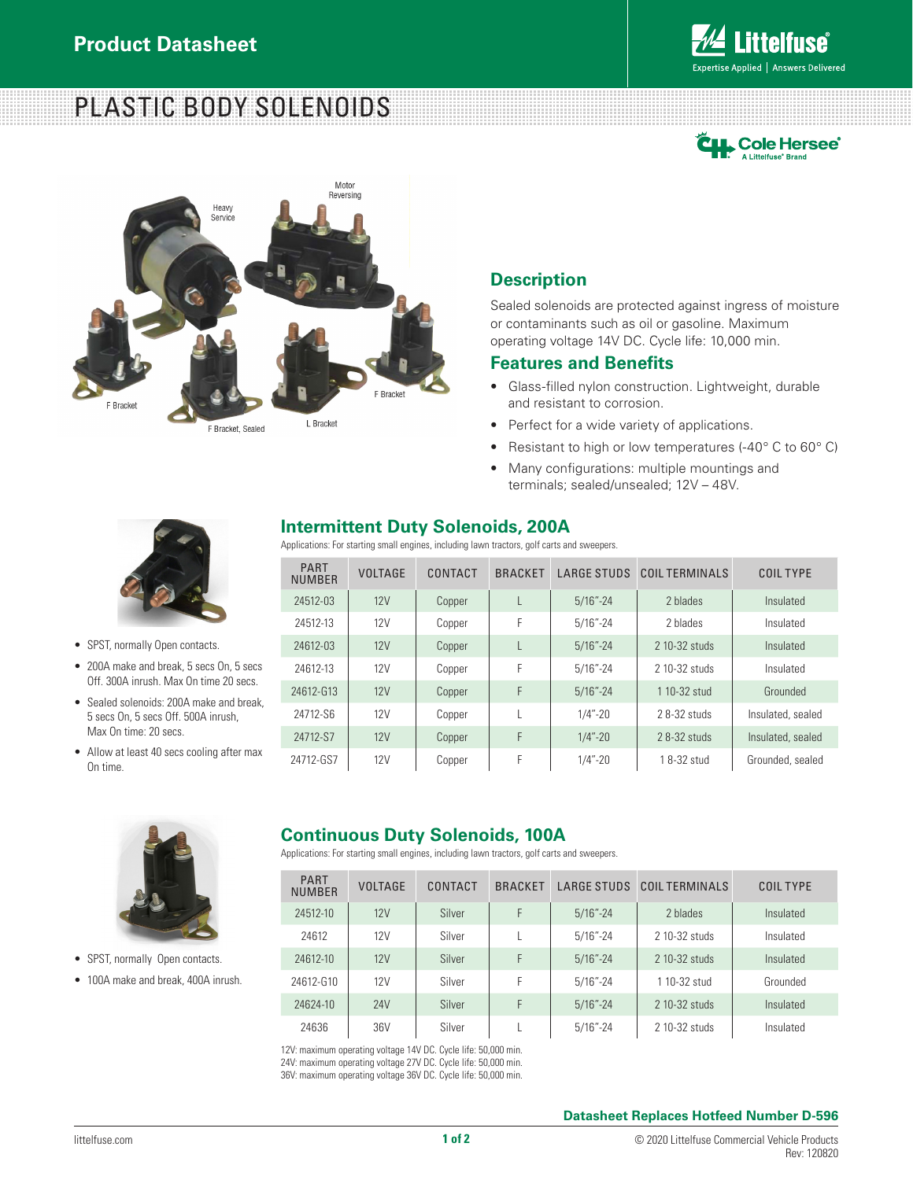# PLASTIC BODY SOLENOIDS







### **Description**

Sealed solenoids are protected against ingress of moisture or contaminants such as oil or gasoline. Maximum operating voltage 14V DC. Cycle life: 10,000 min.

### **Features and Benefits**

- Glass-filled nylon construction. Lightweight, durable and resistant to corrosion.
- Perfect for a wide variety of applications.
- Resistant to high or low temperatures (-40° C to 60° C)
- Many configurations: multiple mountings and terminals; sealed/unsealed; 12V – 48V.



- SPST, normally Open contacts.
- 200A make and break, 5 secs On, 5 secs Off. 300A inrush. Max On time 20 secs.
- Sealed solenoids: 200A make and break. 5 secs On, 5 secs Off. 500A inrush, Max On time: 20 secs.
- Allow at least 40 secs cooling after max On time.



Applications: For starting small engines, including lawn tractors, golf carts and sweepers.

| <b>PART</b><br><b>NUMBER</b> | <b>VOLTAGE</b> | CONTACT | <b>BRACKET</b> | <b>LARGE STUDS</b> | COIL TERMINALS | <b>COIL TYPE</b>  |
|------------------------------|----------------|---------|----------------|--------------------|----------------|-------------------|
| 24512-03                     | 12V            | Copper  |                | $5/16" - 24$       | 2 blades       | Insulated         |
| 24512-13                     | 12V            | Copper  | F              | $5/16 - 24$        | 2 blades       | Insulated         |
| 24612-03                     | 12V            | Copper  |                | $5/16" - 24$       | 2 10-32 studs  | Insulated         |
| 24612-13                     | 12V            | Copper  | F              | $5/16 - 24$        | 2 10-32 studs  | Insulated         |
| 24612-G13                    | 12V            | Copper  | F              | $5/16" - 24$       | 1 10-32 stud   | Grounded          |
| 24712-S6                     | 12V            | Copper  |                | $1/4$ "-20         | 28-32 studs    | Insulated, sealed |
| 24712-S7                     | 12V            | Copper  | F              | $1/4$ "-20         | 28-32 studs    | Insulated, sealed |
| 24712-GS7                    | 12V            | Copper  | F              | $1/4$ "-20         | 18-32 stud     | Grounded, sealed  |



- SPST, normally Open contacts.
- 100A make and break, 400A inrush.

### **Continuous Duty Solenoids, 100A**

Applications: For starting small engines, including lawn tractors, golf carts and sweepers.

| <b>PART</b><br><b>NUMBER</b> | <b>VOLTAGE</b> | CONTACT | <b>BRACKET</b> | <b>LARGE STUDS</b> | COIL TERMINALS | COIL TYPE |
|------------------------------|----------------|---------|----------------|--------------------|----------------|-----------|
| 24512-10                     | 12V            | Silver  | F              | $5/16" - 24$       | 2 blades       | Insulated |
| 24612                        | 12V            | Silver  |                | $5/16" - 24$       | 2 10-32 studs  | Insulated |
| 24612-10                     | 12V            | Silver  | F              | $5/16" - 24$       | 2 10-32 studs  | Insulated |
| 24612-G10                    | 12V            | Silver  | F              | $5/16" - 24$       | 1 10-32 stud   | Grounded  |
| 24624-10                     | 24V            | Silver  | F              | $5/16" - 24$       | 2 10-32 studs  | Insulated |
| 24636                        | 36V            | Silver  |                | $5/16" - 24$       | 2 10-32 studs  | Insulated |

12V: maximum operating voltage 14V DC. Cycle life: 50,000 min. 24V: maximum operating voltage 27V DC. Cycle life: 50,000 min. 36V: maximum operating voltage 36V DC. Cycle life: 50,000 min.